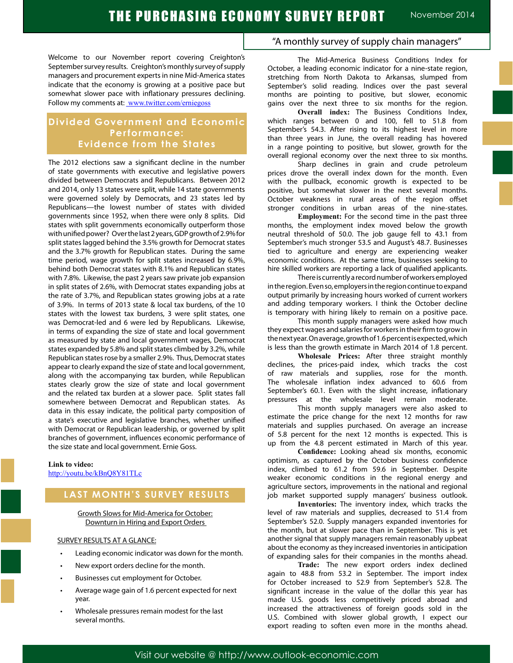Welcome to our November report covering Creighton's September survey results. Creighton's monthly survey of supply managers and procurement experts in nine Mid-America states indicate that the economy is growing at a positive pace but somewhat slower pace with inflationary pressures declining. Follow my comments at: www.twitter.com/erniegoss

# **Divided Government and Economic Performance: Evidence from the States**

The 2012 elections saw a significant decline in the number of state governments with executive and legislative powers divided between Democrats and Republicans. Between 2012 and 2014, only 13 states were split, while 14 state governments were governed solely by Democrats, and 23 states led by Republicans—the lowest number of states with divided governments since 1952, when there were only 8 splits. Did states with split governments economically outperform those with unified power? Over the last 2 years, GDP growth of 2.9% for split states lagged behind the 3.5% growth for Democrat states and the 3.7% growth for Republican states. During the same time period, wage growth for split states increased by 6.9%, behind both Democrat states with 8.1% and Republican states with 7.8%. Likewise, the past 2 years saw private job expansion in split states of 2.6%, with Democrat states expanding jobs at the rate of 3.7%, and Republican states growing jobs at a rate of 3.9%. In terms of 2013 state & local tax burdens, of the 10 states with the lowest tax burdens, 3 were split states, one was Democrat-led and 6 were led by Republicans. Likewise, in terms of expanding the size of state and local government as measured by state and local government wages, Democrat states expanded by 5.8% and split states climbed by 3.2%, while Republican states rose by a smaller 2.9%. Thus, Democrat states appear to clearly expand the size of state and local government, along with the accompanying tax burden, while Republican states clearly grow the size of state and local government and the related tax burden at a slower pace. Split states fall somewhere between Democrat and Republican states. As data in this essay indicate, the political party composition of a state's executive and legislative branches, whether unified with Democrat or Republican leadership, or governed by split branches of government, influences economic performance of the size state and local government. Ernie Goss.

#### **Link to video:**

http://youtu.be/kBnQ8Y81TLc

# **LAST MONTH'S SURVEY RESULTS**

#### Growth Slows for Mid-America for October: Downturn in Hiring and Export Orders

### SURVEY RESULTS AT A GLANCE:

- Leading economic indicator was down for the month.
- New export orders decline for the month.
- Businesses cut employment for October.
- Average wage gain of 1.6 percent expected for next year.
- Wholesale pressures remain modest for the last several months.

# "A monthly survey of supply chain managers"

The Mid-America Business Conditions Index for October, a leading economic indicator for a nine-state region, stretching from North Dakota to Arkansas, slumped from September's solid reading. Indices over the past several months are pointing to positive, but slower, economic gains over the next three to six months for the region.

**Overall index:** The Business Conditions Index, which ranges between 0 and 100, fell to 51.8 from September's 54.3. After rising to its highest level in more than three years in June, the overall reading has hovered in a range pointing to positive, but slower, growth for the overall regional economy over the next three to six months.

Sharp declines in grain and crude petroleum prices drove the overall index down for the month. Even with the pullback, economic growth is expected to be positive, but somewhat slower in the next several months. October weakness in rural areas of the region offset stronger conditions in urban areas of the nine-states.

**Employment:** For the second time in the past three months, the employment index moved below the growth neutral threshold of 50.0. The job gauge fell to 43.1 from September's much stronger 53.5 and August's 48.7. Businesses tied to agriculture and energy are experiencing weaker economic conditions. At the same time, businesses seeking to hire skilled workers are reporting a lack of qualified applicants.

There is currently a record number of workers employed in the region. Even so, employers in the region continue to expand output primarily by increasing hours worked of current workers and adding temporary workers. I think the October decline is temporary with hiring likely to remain on a positive pace.

This month supply managers were asked how much they expect wages and salaries for workers in their firm to grow in the next year. On average, growth of 1.6 percent is expected, which is less than the growth estimate in March 2014 of 1.8 percent.

**Wholesale Prices:** After three straight monthly declines, the prices-paid index, which tracks the cost of raw materials and supplies, rose for the month. The wholesale inflation index advanced to 60.6 from September's 60.1. Even with the slight increase, inflationary pressures at the wholesale level remain moderate.

This month supply managers were also asked to estimate the price change for the next 12 months for raw materials and supplies purchased. On average an increase of 5.8 percent for the next 12 months is expected. This is up from the 4.8 percent estimated in March of this year.

**Confidence:** Looking ahead six months, economic optimism, as captured by the October business confidence index, climbed to 61.2 from 59.6 in September. Despite weaker economic conditions in the regional energy and agriculture sectors, improvements in the national and regional job market supported supply managers' business outlook.

**Inventories:** The inventory index, which tracks the level of raw materials and supplies, decreased to 51.4 from September's 52.0. Supply managers expanded inventories for the month, but at slower pace than in September. This is yet another signal that supply managers remain reasonably upbeat about the economy as they increased inventories in anticipation of expanding sales for their companies in the months ahead.

**Trade:** The new export orders index declined again to 48.8 from 53.2 in September. The import index for October increased to 52.9 from September's 52.8. The significant increase in the value of the dollar this year has made U.S. goods less competitively priced abroad and increased the attractiveness of foreign goods sold in the U.S. Combined with slower global growth, I expect our export reading to soften even more in the months ahead.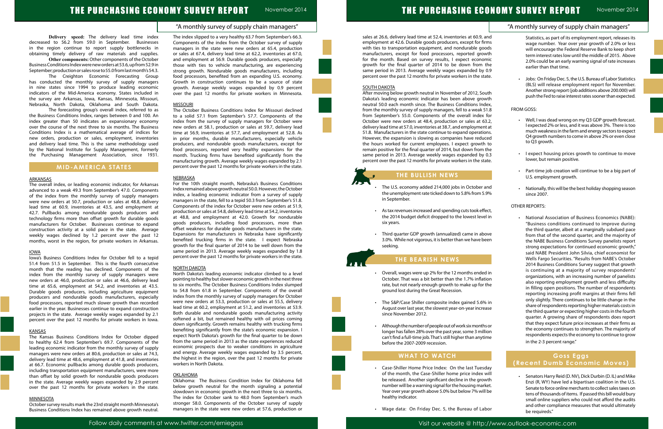"A monthly survey of supply chain managers"

# THE PURCHASING ECONOMY SURVEY REPORT November 2014

**Delivery speed:** The delivery lead time index decreased to 56.2 from 59.0 in September. Businesses in the region continue to report supply bottlenecks in obtaining timely delivery of raw materials and supplies. **Other components:** Other components of the October

Business Conditions Index were new orders at 53.6, up from 52.9 in September; production or sales rose to 55.0 from last month's 54.3.

The Creighton Economic Forecasting Group has conducted the monthly survey of supply managers in nine states since 1994 to produce leading economic indicators of the Mid-America economy. States included in the survey are Arkansas, Iowa, Kansas, Minnesota, Missouri, Nebraska, North Dakota, Oklahoma and South Dakota.

The forecasting group's overall index, referred to as the Business Conditions Index, ranges between 0 and 100. An index greater than 50 indicates an expansionary economy over the course of the next three to six months. The Business Conditions Index is a mathematical average of indices for new orders, production or sales, employment, inventories and delivery lead time. This is the same methodology used by the National Institute for Supply Management, formerly the Purchasing Management Association, since 1931.

# **MID-AMERICA STATES**

### ARKANSAS

The overall index, or leading economic indicator, for Arkansas advanced to a weak 49.3 from September's 47.0. Components of the index from the monthly survey of supply managers were new orders at 50.7, production or sales at 48.8, delivery lead time at 60.9, inventories at 43.5, and employment at 42.7. Pullbacks among nondurable goods producers and technology firms more than offset growth for durable goods manufacturers for October. Businesses continue to expand construction activity at a solid pace in the state. Average weekly wages declined by 1.2 percent over the past 12 months, worst in the region, for private workers in Arkansas.

#### IOWA

Iowa's Business Conditions Index for October fell to a tepid 51.4 from 51.5 in September. This is the fourth consecutive month that the reading has declined. Components of the index from the monthly survey of supply managers were new orders at 46.0, production or sales at 46.6, delivery lead time at 65.6, employment at 54.2, and inventories at 43.5. Durable goods producers, including agriculture equipment producers and nondurable goods manufacturers, especially food processors, reported much slower growth than recorded earlier in the year. Businesses continue to expand construction projects in the state. Average weekly wages expanded by 2.1 percent over the past 12 months for private workers in Iowa.

#### **KANSAS**

The Kansas Business Conditions Index for October dipped to healthy 62.4 from September's 69.7. Components of the leading economic indicator from the monthly survey of supply managers were new orders at 80.6, production or sales at 74.3, delivery lead time at 48.6, employment at 41.8, and inventories at 66.7. Economic pullbacks among durable goods producers, including transportation equipment manufacturers, were more than offset by solid growth for nondurable goods producers in the state. Average weekly wages expanded by 2.9 percent over the past 12 months for private workers in the state.

#### MINNESOTA

October survey results mark the 23rd straight month Minnesota's Business Conditions Index has remained above growth neutral. The index slipped to a very healthy 63.7 from September's 66.3. Components of the index from the October survey of supply managers in the state were new orders at 65.4, production or sales at 67.4, delivery lead time at 62.2, inventories at 67.0, and employment at 56.9. Durable goods producers, especially those with ties to vehicle manufacturing, are experiencing strong growth. Nondurable goods manufacturers, including food processors, benefited from an expanding U.S. economy. Growth in construction continues to be a source of state growth. Average weekly wages expanded by 0.9 percent over the past 12 months for private workers in Minnesota.

### **MISSOURI**

- The U.S. economy added 214,000 jobs in October the unemployment rate ticked down to 5.8% from 5. in September.
- As tax revenues increased and spending cuts took effect the 2014 budget deficit dropped to the lowest level six years.
- Third quarter GDP growth (annualized) came in about 3.0%. While not vigorous, it is better than we have be seeking.

The October Business Conditions Index for Missouri declined to a solid 57.1 from September's 57.7. Components of the index from the survey of supply managers for October were new orders at 58.1, production or sales at 59.7, delivery lead time at 56.9, inventories at 57.7, and employment at 52.8. As in prior months, durable manufacturers, especially vehicle producers, and nondurable goods manufacturers, except for food processors, reported very healthy expansions for the month. Trucking firms have benefited significantly from the manufacturing growth. Average weekly wages expanded by 2.1 percent over the past 12 months for private workers in the state.

- Overall, wages were up 2% for the 12 months ended October. That was a bit better than the 1.7% inflat rate, but not nearly enough growth to make up for ground lost during the Great Recession.
- The S&P/Case Shiller composite index gained 5.69 August over last year, the slowest year-on-year incre since November 2012.
- $\cdot$  Although the number of people out of work six month longer has fallen 28% over the past year, some 3 mil can't find a full-time job. That's still higher than anyt before the 2007-2009 recession.

#### NEBRASKA

For the 10th straight month, Nebraska's Business Conditions Index remained above growth neutral 50.0. However, the October index, a leading economic indicator from a survey of supply managers in the state, fell to a tepid 50.3 from September's 51.8. Components of the index for October were new orders at 51.9, production or sales at 54.8, delivery lead time at 54.2, inventories at 48.8, and employment at 42.0. Growth for nondurable goods producers, including food processors, more than offset weakness for durable goods manufacturers in the state. Expansions for manufacturers in Nebraska have significantly benefited trucking firms in the state. I expect Nebraska growth for the final quarter of 2014 to be well down from the same period in 2013. Average weekly wages expanded by 1.8 percent over the past 12 months for private workers in the state.

#### NORTH DAKOTA

|                                                                                                                                                                                                                                                                                                                                                                                                                                                                                                                              | "A monthly survey of supply chain managers"                                                                                                                                                                                                                                                                                                                                                                                                     |
|------------------------------------------------------------------------------------------------------------------------------------------------------------------------------------------------------------------------------------------------------------------------------------------------------------------------------------------------------------------------------------------------------------------------------------------------------------------------------------------------------------------------------|-------------------------------------------------------------------------------------------------------------------------------------------------------------------------------------------------------------------------------------------------------------------------------------------------------------------------------------------------------------------------------------------------------------------------------------------------|
| sales at 26.6, delivery lead time at 52.4, inventories at 60.9, and<br>employment at 42.6. Durable goods producers, except for firms<br>with ties to transportation equipment, and nondurable goods<br>manufacturers, except for food processors, reported growth<br>for the month. Based on survey results, I expect economic<br>growth for the final quarter of 2014 to be down from the<br>same period in 2013. Average weekly wages expanded by 0.9<br>percent over the past 12 months for private workers in the state. | Statistics, as part of its employment report, releases its<br>wage number. Year over year growth of 2.0% or less<br>will encourage the Federal Reserve Bank to keep short<br>term interest rates low until the middle of 2015. Above<br>2.0% could be an early warning signal of rate increases<br>earlier than that time.<br>Jobs: On Friday Dec. 5, the U.S. Bureau of Labor Statistics<br>(BLS) will release employment report for November. |
| <b>SOUTH DAKOTA</b><br>After moving below growth neutral in November of 2012, South<br>Dakota's leading economic indicator has been above growth<br>neutral 50.0 each month since. The Business Conditions Index,                                                                                                                                                                                                                                                                                                            | Another strong report (job additions above 200.000) will<br>push the Fed to raise interest rates sooner than expected.                                                                                                                                                                                                                                                                                                                          |
| from the monthly survey of supply managers, fell to a weak 51.8                                                                                                                                                                                                                                                                                                                                                                                                                                                              | <b>FROM GOSS:</b>                                                                                                                                                                                                                                                                                                                                                                                                                               |
| from September's 55.0. Components of the overall index for<br>October were new orders at 48.4, production or sales at 63.2,<br>delivery lead time at 57.0, inventories at 38.7, and employment at<br>51.8. Manufacturers in the state continue to expand operations.<br>However, the expansion is slowing as companies have reduced<br>the hours worked for current employees. I expect growth to<br>remain positive for the final quarter of 2014, but down from the                                                        | Well, I was dead wrong on my Q3 GDP growth forecast.<br>I expected 2% or less, and it was above 3%. There is too<br>much weakness in the farm and energy sectors to expect<br>Q4 growth numbers to come in above 2% or even close<br>to Q3 growth.                                                                                                                                                                                              |
| same period in 2013. Average weekly wages expanded by 0.3<br>percent over the past 12 months for private workers in the state.                                                                                                                                                                                                                                                                                                                                                                                               | I expect housing prices growth to continue to move<br>lower, but remain positive.                                                                                                                                                                                                                                                                                                                                                               |
| THE BULLISH NEWS                                                                                                                                                                                                                                                                                                                                                                                                                                                                                                             | Part-time job creation will continue to be a big part of<br>U.S. employment growth.                                                                                                                                                                                                                                                                                                                                                             |
| The U.S. economy added 214,000 jobs in October and<br>the unemployment rate ticked down to 5.8% from 5.9%<br>in September.                                                                                                                                                                                                                                                                                                                                                                                                   | Nationally, this will be the best holiday shopping season<br>since 2007.                                                                                                                                                                                                                                                                                                                                                                        |
| As tax revenues increased and spending cuts took effect,<br>$\bullet$                                                                                                                                                                                                                                                                                                                                                                                                                                                        | <b>OTHER REPORTS:</b>                                                                                                                                                                                                                                                                                                                                                                                                                           |
| the 2014 budget deficit dropped to the lowest level in<br>six years.                                                                                                                                                                                                                                                                                                                                                                                                                                                         | National Association of Business Economics (NABE):                                                                                                                                                                                                                                                                                                                                                                                              |
| Third quarter GDP growth (annualized) came in above<br>3.0%. While not vigorous, it is better than we have been<br>seeking.                                                                                                                                                                                                                                                                                                                                                                                                  | "Business conditions continued to improve during<br>the third quarter, albeit at a marginally subdued pace<br>from that of the second quarter, and the majority of<br>the NABE Business Conditions Survey panelists report<br>strong expectations for continued economic growth,"<br>said NABE President John Silvia, chief economist for                                                                                                       |
| <b>THE BEARISH NEWS</b>                                                                                                                                                                                                                                                                                                                                                                                                                                                                                                      | Wells Fargo Securities. "Results from NABE's October<br>2014 Business Conditions Survey suggest that growth                                                                                                                                                                                                                                                                                                                                     |
| Overall, wages were up 2% for the 12 months ended in<br>October. That was a bit better than the 1.7% inflation<br>rate, but not nearly enough growth to make up for the<br>ground lost during the Great Recession.                                                                                                                                                                                                                                                                                                           | is continuing at a majority of survey respondents'<br>organizations, with an increasing number of panelists<br>also reporting employment growth and less difficulty<br>in filling open positions. The number of respondents<br>reporting increasing profit margins at their firms fell                                                                                                                                                          |
| The S&P/Case Shiller composite index gained 5.6% in<br>$\bullet$<br>August over last year, the slowest year-on-year increase<br>since November 2012.                                                                                                                                                                                                                                                                                                                                                                         | only slightly. There continues to be little change in the<br>share of respondents reporting higher materials costs in<br>the third quarter or expecting higher costs in the fourth<br>quarter. A growing share of respondents does report                                                                                                                                                                                                       |
| Although the number of people out of work six months or<br>longer has fallen 28% over the past year, some 3 million<br>can't find a full-time job. That's still higher than anytime<br>before the 2007-2009 recession.                                                                                                                                                                                                                                                                                                       | that they expect future price increases at their firms as<br>the economy continues to strengthen. The majority of<br>respondents expects the economy to continue to grow<br>in the 2-3 percent range."                                                                                                                                                                                                                                          |
| <b>WHAT TO WATCH</b>                                                                                                                                                                                                                                                                                                                                                                                                                                                                                                         | Goss Eggs<br>(Recent Dumb Economic Moves)                                                                                                                                                                                                                                                                                                                                                                                                       |

Senators Harry Reid (D. NV), Dick Durbin (D. IL) and Mike Enzi (R, WY) have led a bipartisan coalition in the U.S. Senate to force online merchants to collect sales taxes on tens of thousands of items. If passed this bill would bury small online suppliers who could not afford the audits and other compliance measures that would ultimately be requireds."

North Dakota's leading economic indicator climbed to a level pointing to healthy but slower economic growth in the next three to six months. The October Business Conditions Index slumped to 54.8 from 61.8 in September. Components of the overall index from the monthly survey of supply managers for October were new orders at 53.3, production or sales at 55.5, delivery lead time at 60.2, employment at 51.2, and inventories at 53.9. Both durable and nondurable goods manufacturing activity softened a bit, but remained healthy with oil prices coming down significantly. Growth remains healthy with trucking firms benefiting significantly from the state's economic expansion. I expect North Dakota's growth for the final quarter to be down from the same period in 2013 as the state experiences reduced economic prospects due to weaker conditions in agriculture and energy. Average weekly wages expanded by 3.5 percent, the highest in the region, over the past 12 months for private workers in North Dakota.

#### **OKLAHOMA**

Oklahoma: The Business Condition Index for Oklahoma fell below growth neutral for the month signaling a potential slowdown in economic growth in the next three to six months. The index for October sank to 48.0 from September's much stronger 58.0. Components of the October survey of supply managers in the state were new orders at 57.6, production or



# **THE BULLISH NEWS**

# **THE BEARISH NEWS**

# **WHAT TO WATCH**

- • Case-Shiller Home Price Index: On the last Tuesday of the month, the Case-Shiller home price index will be released. Another significant decline in the growth number will be a warning signal for the housing market. Year over year growth above 5.0% but below 7% will be healthy indicator.
- • Wage data: On Friday Dec. 5, the Bureau of Labor